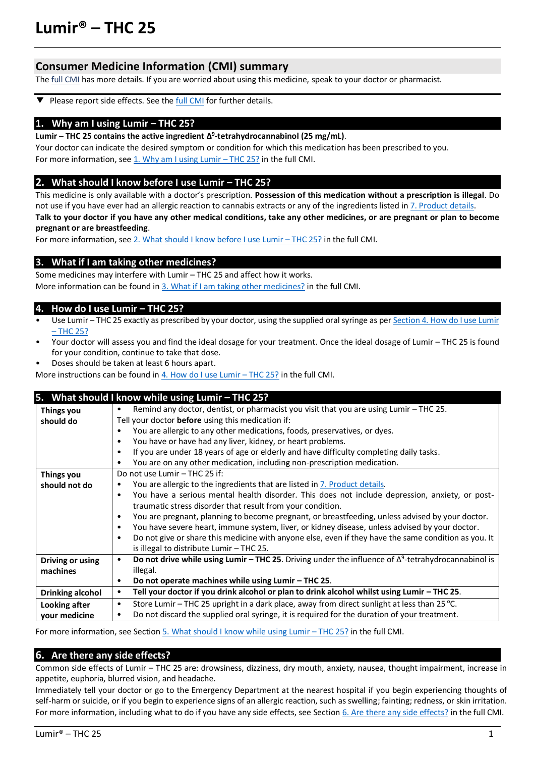# **Lumir® – THC 25**

# **Consumer Medicine Information (CMI) summary**

The *full CMI* has more details. If you are worried about using this medicine, speak to your doctor or pharmacist.

Please report side effects. See the **full CMI** for further details. ▼

#### **1. Why am I using Lumir – THC 25?**

**Lumir – THC 25 contains the active ingredient Δ 9 -tetrahydrocannabinol (25 mg/mL)**.

Your doctor can indicate the desired symptom or condition for which this medication has been prescribed to you. For more information, see 1. Why am I using Lumir – THC 25? in the full CMI.

## **2. What should I know before I use Lumir – THC 25?**

This medicine is only available with a doctor's prescription. **Possession of this medication without a prescription is illegal**. Do not use if you have ever had an allergic reaction to cannabis extracts or any of the ingredients listed in 7. Product details.

**Talk to your doctor if you have any other medical conditions, take any other medicines, or are pregnant or plan to become pregnant or are breastfeeding**.

For more information, see [2. What should I know before I use](#page-1-2) Lumir – THC 25? in the full CMI.

## **3. What if I am taking other medicines?**

Some medicines may interfere with Lumir – THC 25 and affect how it works. More information can be found in [3. What if I am taking other medicines?](#page-2-0) in the full CMI.

## **4. How do I use Lumir – THC 25?**

- Use Lumir THC 25 exactly as prescribed by your doctor, using the supplied oral syringe as per Section 4. How do I use Lumir – [THC 25?](#page-2-1)
- Your doctor will assess you and find the ideal dosage for your treatment. Once the ideal dosage of Lumir THC 25 is found for your condition, continue to take that dose.
- Doses should be taken at least 6 hours apart.
- More instructions can be found i[n 4. How do I use Lumir](#page-2-1)  THC 25? in the full CMI.

|                         | 5. What should I know while using Lumir - THC 25?                                                                |  |  |  |
|-------------------------|------------------------------------------------------------------------------------------------------------------|--|--|--|
| Things you              | Remind any doctor, dentist, or pharmacist you visit that you are using Lumir - THC 25.<br>٠                      |  |  |  |
| should do               | Tell your doctor before using this medication if:                                                                |  |  |  |
|                         | You are allergic to any other medications, foods, preservatives, or dyes.                                        |  |  |  |
|                         | You have or have had any liver, kidney, or heart problems.<br>٠                                                  |  |  |  |
|                         | If you are under 18 years of age or elderly and have difficulty completing daily tasks.<br>٠                     |  |  |  |
|                         | You are on any other medication, including non-prescription medication.                                          |  |  |  |
| Things you              | Do not use Lumir - THC 25 if:                                                                                    |  |  |  |
| should not do           | You are allergic to the ingredients that are listed in 7. Product details.                                       |  |  |  |
|                         | You have a serious mental health disorder. This does not include depression, anxiety, or post-<br>$\bullet$      |  |  |  |
|                         | traumatic stress disorder that result from your condition.                                                       |  |  |  |
|                         | You are pregnant, planning to become pregnant, or breastfeeding, unless advised by your doctor.<br>٠             |  |  |  |
|                         | You have severe heart, immune system, liver, or kidney disease, unless advised by your doctor.<br>٠              |  |  |  |
|                         | Do not give or share this medicine with anyone else, even if they have the same condition as you. It<br>٠        |  |  |  |
|                         | is illegal to distribute Lumir - THC 25.                                                                         |  |  |  |
| Driving or using        | Do not drive while using Lumir - THC 25. Driving under the influence of $\Delta^9$ -tetrahydrocannabinol is<br>٠ |  |  |  |
| machines                | illegal.                                                                                                         |  |  |  |
|                         | Do not operate machines while using Lumir - THC 25.<br>٠                                                         |  |  |  |
| <b>Drinking alcohol</b> | Tell your doctor if you drink alcohol or plan to drink alcohol whilst using Lumir – THC 25.<br>٠                 |  |  |  |
| Looking after           | Store Lumir - THC 25 upright in a dark place, away from direct sunlight at less than 25 °C.<br>$\bullet$         |  |  |  |
| your medicine           | Do not discard the supplied oral syringe, it is required for the duration of your treatment.<br>$\bullet$        |  |  |  |

For more information, see Section [5. What should I know while using Lumir](#page-3-0) – THC 25? in the full CMI.

## **6. Are there any side effects?**

Common side effects of Lumir – THC 25 are: drowsiness, dizziness, dry mouth, anxiety, nausea, thought impairment, increase in appetite, euphoria, blurred vision, and headache.

Immediately tell your doctor or go to the Emergency Department at the nearest hospital if you begin experiencing thoughts of self-harm or suicide, or if you begin to experience signs of an allergic reaction, such as swelling; fainting; redness, or skin irritation. For more information, including what to do if you have any side effects, see Section [6. Are there any side effects?](#page-3-1) in the full CMI.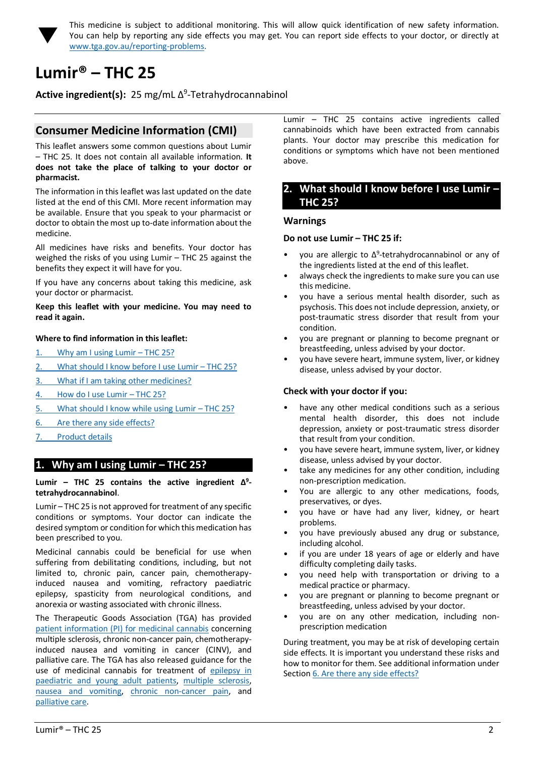

<span id="page-1-0"></span>This medicine is subject to additional monitoring. This will allow quick identification of new safety information. You can help by reporting any side effects you may get. You can report side effects to your doctor, or directly at [www.tga.gov.au/reporting-problems.](http://www.tga.gov.au/reporting-problems)

# <span id="page-1-1"></span>**Lumir® – THC 25**

Active ingredient(s): 25 mg/mL Δ<sup>9</sup>-Tetrahydrocannabinol

# **Consumer Medicine Information (CMI)**

This leaflet answers some common questions about Lumir – THC 25. It does not contain all available information. **It does not take the place of talking to your doctor or pharmacist.**

The information in this leaflet was last updated on the date listed at the end of this CMI. More recent information may be available. Ensure that you speak to your pharmacist or doctor to obtain the most up to-date information about the medicine.

All medicines have risks and benefits. Your doctor has weighed the risks of you using Lumir – THC 25 against the benefits they expect it will have for you.

If you have any concerns about taking this medicine, ask your doctor or pharmacist.

**Keep this leaflet with your medicine. You may need to read it again.**

## **Where to find information in this leaflet:**

- 1. [Why am I using Lumir](#page-1-3)  THC 25[?](#page-1-3)
- 2. [What should I know before I use Lumir](#page-1-2)  THC 25[?](#page-1-2)
- 3. [What if I am taking other medicines?](#page-2-0)
- 4. [How do I use Lumir](#page-2-1)  THC 25[?](#page-2-1)
- 5. [What should I know while using Lumir](#page-3-0)  THC 25[?](#page-3-0)
- 6. [Are there any side effects?](#page-3-1)
- 7. [Product details](#page-4-0)

## <span id="page-1-3"></span>**1. Why am I using Lumir – THC 25?**

#### **Lumir – THC 25 contains the active ingredient Δ 9 tetrahydrocannabinol**.

Lumir – THC 25 is not approved for treatment of any specific conditions or symptoms. Your doctor can indicate the desired symptom or condition for which this medication has been prescribed to you.

Medicinal cannabis could be beneficial for use when suffering from debilitating conditions, including, but not limited to, chronic pain, cancer pain, chemotherapyinduced nausea and vomiting, refractory paediatric epilepsy, spasticity from neurological conditions, and anorexia or wasting associated with chronic illness.

The Therapeutic Goods Association (TGA) has provided [patient information \(PI\) for medicinal cannabis](https://www.tga.gov.au/community-qa/medicinal-cannabis-products-patient-information) concerning multiple sclerosis, chronic non-cancer pain, chemotherapyinduced nausea and vomiting in cancer (CINV), and palliative care. The TGA has also released guidance for the use of medicinal cannabis for treatment of [epilepsy in](https://www.tga.gov.au/publication/guidance-use-medicinal-cannabis-treatment-epilepsy-paediatric-and-young-adult-patients-australia)  [paediatric and young adult patients,](https://www.tga.gov.au/publication/guidance-use-medicinal-cannabis-treatment-epilepsy-paediatric-and-young-adult-patients-australia) [multiple sclerosis,](https://www.tga.gov.au/publication/guidance-use-medicinal-cannabis-treatment-multiple-sclerosis-australia)  [nausea and vomiting,](https://www.tga.gov.au/publication/guidance-use-medicinal-cannabis-prevention-or-management-nausea-and-vomiting-australia) [chronic non-cancer pain,](https://www.tga.gov.au/publication/guidance-use-medicinal-cannabis-treatment-chronic-non-cancer-pain-australia) and [palliative care.](https://www.tga.gov.au/publication/guidance-use-medicinal-cannabis-treatment-palliative-care-patients-australia)

Lumir – THC 25 contains active ingredients called cannabinoids which have been extracted from cannabis plants. Your doctor may prescribe this medication for conditions or symptoms which have not been mentioned above.

## <span id="page-1-2"></span>**2. What should I know before I use Lumir – THC 25?**

#### **Warnings**

#### **Do not use Lumir – THC 25 if:**

- you are allergic to  $\Delta^9$ -tetrahydrocannabinol or any of the ingredients listed at the end of this leaflet.
- always check the ingredients to make sure you can use this medicine.
- you have a serious mental health disorder, such as psychosis. This does not include depression, anxiety, or post-traumatic stress disorder that result from your condition.
- you are pregnant or planning to become pregnant or breastfeeding, unless advised by your doctor.
- you have severe heart, immune system, liver, or kidney disease, unless advised by your doctor.

## **Check with your doctor if you:**

- have any other medical conditions such as a serious mental health disorder, this does not include depression, anxiety or post-traumatic stress disorder that result from your condition.
- you have severe heart, immune system, liver, or kidney disease, unless advised by your doctor.
- take any medicines for any other condition, including non-prescription medication.
- You are allergic to any other medications, foods, preservatives, or dyes.
- you have or have had any liver, kidney, or heart problems.
- you have previously abused any drug or substance, including alcohol.
- if you are under 18 years of age or elderly and have difficulty completing daily tasks.
- you need help with transportation or driving to a medical practice or pharmacy.
- you are pregnant or planning to become pregnant or breastfeeding, unless advised by your doctor.
- you are on any other medication, including nonprescription medication

During treatment, you may be at risk of developing certain side effects. It is important you understand these risks and how to monitor for them. See additional information under Section [6. Are there any side effects?](#page-3-1)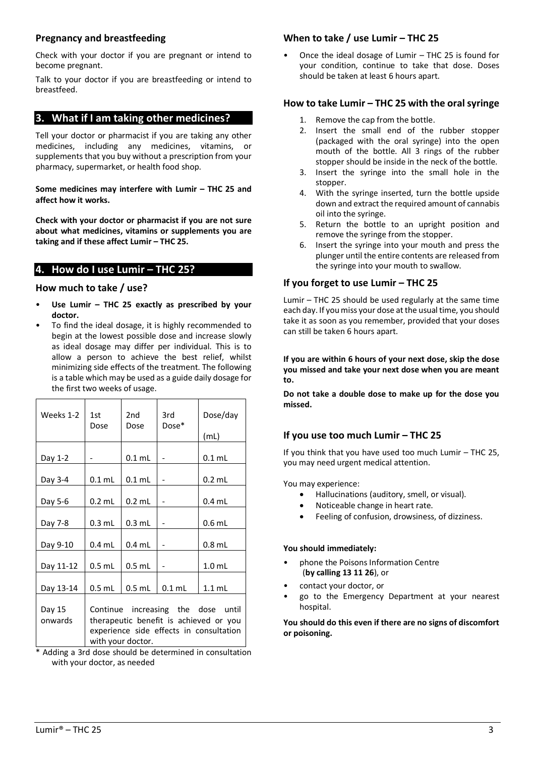## **Pregnancy and breastfeeding**

Check with your doctor if you are pregnant or intend to become pregnant.

Talk to your doctor if you are breastfeeding or intend to breastfeed.

# <span id="page-2-0"></span>**3. What if I am taking other medicines?**

Tell your doctor or pharmacist if you are taking any other medicines, including any medicines, vitamins, or supplements that you buy without a prescription from your pharmacy, supermarket, or health food shop.

**Some medicines may interfere with Lumir – THC 25 and affect how it works.**

**Check with your doctor or pharmacist if you are not sure about what medicines, vitamins or supplements you are taking and if these affect Lumir – THC 25.**

# <span id="page-2-1"></span>**4. How do I use Lumir – THC 25?**

## **How much to take / use?**

- **Use Lumir – THC 25 exactly as prescribed by your doctor.**
- To find the ideal dosage, it is highly recommended to begin at the lowest possible dose and increase slowly as ideal dosage may differ per individual. This is to allow a person to achieve the best relief, whilst minimizing side effects of the treatment. The following is a table which may be used as a guide daily dosage for the first two weeks of usage.

| Weeks 1-2         | 1st<br>Dose                                                                                                                                  | 2nd<br>Dose | 3rd<br>$Dose*$ | Dose/day<br>(mL)  |
|-------------------|----------------------------------------------------------------------------------------------------------------------------------------------|-------------|----------------|-------------------|
|                   |                                                                                                                                              |             |                |                   |
| Day 1-2           |                                                                                                                                              | $0.1$ mL    |                | $0.1$ mL          |
| Day 3-4           | $0.1$ mL                                                                                                                                     | $0.1$ mL    |                | $0.2$ mL          |
| Day 5-6           | $0.2$ mL                                                                                                                                     | $0.2$ mL    |                | $0.4$ ml          |
| Day 7-8           | $0.3$ mL                                                                                                                                     | $0.3$ mL    |                | $0.6$ mL          |
| Day 9-10          | $0.4$ mL                                                                                                                                     | $0.4$ mL    |                | $0.8$ mL          |
| Day 11-12         | $0.5$ mL                                                                                                                                     | $0.5$ mL    |                | 1.0 <sub>mL</sub> |
| Day 13-14         | $0.5$ mL                                                                                                                                     | $0.5$ mL    | $0.1$ mL       | $1.1$ mL          |
| Day 15<br>onwards | Continue increasing the dose until<br>therapeutic benefit is achieved or you<br>experience side effects in consultation<br>with your doctor. |             |                |                   |

\* Adding a 3rd dose should be determined in consultation with your doctor, as needed

# **When to take / use Lumir – THC 25**

• Once the ideal dosage of Lumir – THC 25 is found for your condition, continue to take that dose. Doses should be taken at least 6 hours apart.

# **How to take Lumir – THC 25 with the oral syringe**

- 1. Remove the cap from the bottle.
- 2. Insert the small end of the rubber stopper (packaged with the oral syringe) into the open mouth of the bottle. All 3 rings of the rubber stopper should be inside in the neck of the bottle.
- 3. Insert the syringe into the small hole in the stopper.
- 4. With the syringe inserted, turn the bottle upside down and extract the required amount of cannabis oil into the syringe.
- 5. Return the bottle to an upright position and remove the syringe from the stopper.
- 6. Insert the syringe into your mouth and press the plunger until the entire contents are released from the syringe into your mouth to swallow.

# **If you forget to use Lumir – THC 25**

Lumir – THC 25 should be used regularly at the same time each day. If you miss your dose at the usual time, you should take it as soon as you remember, provided that your doses can still be taken 6 hours apart.

**If you are within 6 hours of your next dose, skip the dose you missed and take your next dose when you are meant to.**

**Do not take a double dose to make up for the dose you missed.**

# **If you use too much Lumir – THC 25**

If you think that you have used too much Lumir – THC 25, you may need urgent medical attention.

You may experience:

- Hallucinations (auditory, smell, or visual).
- Noticeable change in heart rate.
- Feeling of confusion, drowsiness, of dizziness.

# **You should immediately:**

- phone the Poisons Information Centre (**by calling 13 11 26**), or
- contact your doctor, or
- go to the Emergency Department at your nearest hospital.

**You should do this even if there are no signs of discomfort or poisoning.**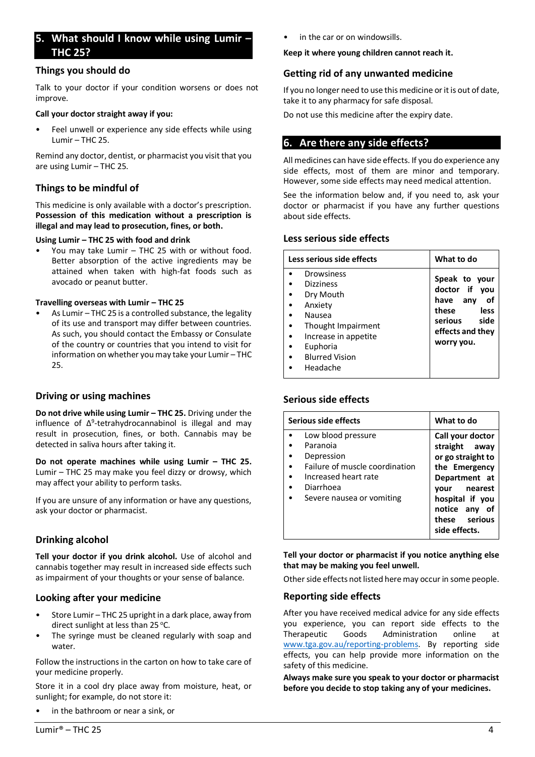# <span id="page-3-0"></span>**5. What should I know while using Lumir – THC 25?**

## **Things you should do**

Talk to your doctor if your condition worsens or does not improve.

#### **Call your doctor straight away if you:**

Feel unwell or experience any side effects while using Lumir – THC 25.

Remind any doctor, dentist, or pharmacist you visit that you are using Lumir – THC 25.

## **Things to be mindful of**

This medicine is only available with a doctor's prescription. **Possession of this medication without a prescription is illegal and may lead to prosecution, fines, or both.**

#### **Using Lumir – THC 25 with food and drink**

• You may take Lumir – THC 25 with or without food. Better absorption of the active ingredients may be attained when taken with high-fat foods such as avocado or peanut butter.

#### **Travelling overseas with Lumir – THC 25**

• As Lumir – THC 25 is a controlled substance, the legality of its use and transport may differ between countries. As such, you should contact the Embassy or Consulate of the country or countries that you intend to visit for information on whether you may take your Lumir – THC 25.

## **Driving or using machines**

**Do not drive while using Lumir – THC 25.** Driving under the influence of Δ<sup>9</sup>-tetrahydrocannabinol is illegal and may result in prosecution, fines, or both. Cannabis may be detected in saliva hours after taking it.

**Do not operate machines while using Lumir – THC 25.** Lumir – THC 25 may make you feel dizzy or drowsy, which may affect your ability to perform tasks.

If you are unsure of any information or have any questions, ask your doctor or pharmacist.

# **Drinking alcohol**

**Tell your doctor if you drink alcohol.** Use of alcohol and cannabis together may result in increased side effects such as impairment of your thoughts or your sense of balance.

## **Looking after your medicine**

- Store Lumir THC 25 upright in a dark place, away from direct sunlight at less than  $25^{\circ}$ C.
- The syringe must be cleaned regularly with soap and water.

Follow the instructions in the carton on how to take care of your medicine properly.

Store it in a cool dry place away from moisture, heat, or sunlight; for example, do not store it:

in the bathroom or near a sink, or

in the car or on windowsills.

#### **Keep it where young children cannot reach it.**

## **Getting rid of any unwanted medicine**

If you no longer need to use this medicine or it is out of date, take it to any pharmacy for safe disposal.

Do not use this medicine after the expiry date.

# <span id="page-3-1"></span>**6. Are there any side effects?**

All medicines can have side effects. If you do experience any side effects, most of them are minor and temporary. However, some side effects may need medical attention.

See the information below and, if you need to, ask your doctor or pharmacist if you have any further questions about side effects.

## **Less serious side effects**

| Less serious side effects | What to do       |
|---------------------------|------------------|
| Drowsiness                | Speak to your    |
| <b>Dizziness</b>          | doctor if you    |
| Dry Mouth                 | have any         |
| Anxiety                   | οf               |
| Nausea                    | these            |
| Thought Impairment        | less             |
| Increase in appetite      | side             |
| Euphoria                  | serious          |
| <b>Blurred Vision</b>     | effects and they |
| Headache                  | worry you.       |

## **Serious side effects**

| Serious side effects           | What to do                     |
|--------------------------------|--------------------------------|
| Low blood pressure             | Call your doctor               |
| Paranoia                       | straight away                  |
| Depression                     | or go straight to              |
| Failure of muscle coordination | the Emergency                  |
| Increased heart rate           | Department at                  |
| Diarrhoea                      | nearest<br>vour                |
| Severe nausea or vomiting      | hospital if you                |
|                                | notice any<br>. of             |
|                                | these serious<br>side effects. |

**Tell your doctor or pharmacist if you notice anything else that may be making you feel unwell.**

Other side effects not listed here may occur in some people.

## **Reporting side effects**

After you have received medical advice for any side effects you experience, you can report side effects to the Therapeutic Goods Administration online at [www.tga.gov.au/reporting-problems.](http://www.tga.gov.au/reporting-problems) By reporting side effects, you can help provide more information on the safety of this medicine.

**Always make sure you speak to your doctor or pharmacist before you decide to stop taking any of your medicines.**